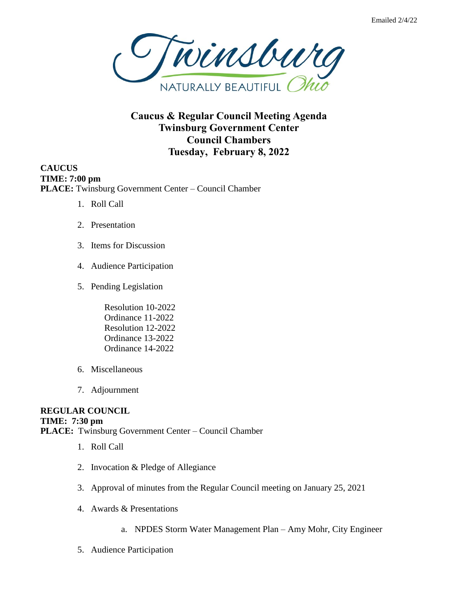

**Caucus & Regular Council Meeting Agenda Twinsburg Government Center Council Chambers Tuesday, February 8, 2022**

**CAUCUS TIME: 7:00 pm PLACE:** Twinsburg Government Center – Council Chamber

- 1. Roll Call
- 2. Presentation
- 3. Items for Discussion
- 4. Audience Participation
- 5. Pending Legislation

Resolution 10-2022 Ordinance 11-2022 Resolution 12-2022 Ordinance 13-2022 Ordinance 14-2022

- 6. Miscellaneous
- 7. Adjournment

## **REGULAR COUNCIL TIME: 7:30 pm PLACE:** Twinsburg Government Center – Council Chamber

- 1. Roll Call
- 2. Invocation & Pledge of Allegiance
- 3. Approval of minutes from the Regular Council meeting on January 25, 2021
- 4. Awards & Presentations
	- a. NPDES Storm Water Management Plan Amy Mohr, City Engineer
- 5. Audience Participation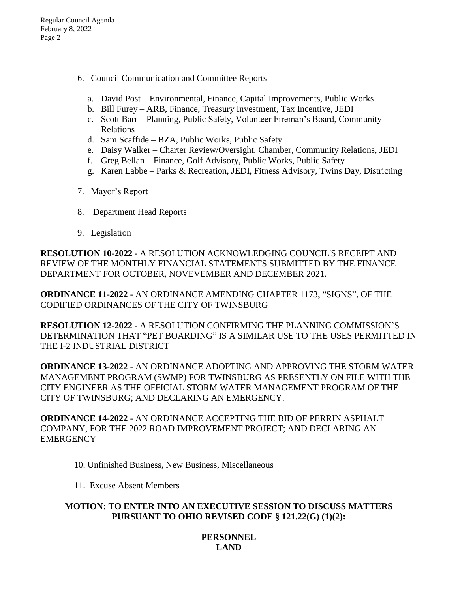- 6. Council Communication and Committee Reports
	- a. David Post Environmental, Finance, Capital Improvements, Public Works
	- b. Bill Furey ARB, Finance, Treasury Investment, Tax Incentive, JEDI
	- c. Scott Barr Planning, Public Safety, Volunteer Fireman's Board, Community Relations
	- d. Sam Scaffide BZA, Public Works, Public Safety
	- e. Daisy Walker Charter Review/Oversight, Chamber, Community Relations, JEDI
	- f. Greg Bellan Finance, Golf Advisory, Public Works, Public Safety
	- g. Karen Labbe Parks & Recreation, JEDI, Fitness Advisory, Twins Day, Districting
- 7. Mayor's Report
- 8. Department Head Reports
- 9. Legislation

**RESOLUTION 10-2022 -** A RESOLUTION ACKNOWLEDGING COUNCIL'S RECEIPT AND REVIEW OF THE MONTHLY FINANCIAL STATEMENTS SUBMITTED BY THE FINANCE DEPARTMENT FOR OCTOBER, NOVEVEMBER AND DECEMBER 2021.

**ORDINANCE 11-2022 -** AN ORDINANCE AMENDING CHAPTER 1173, "SIGNS", OF THE CODIFIED ORDINANCES OF THE CITY OF TWINSBURG

**RESOLUTION 12-2022 -** A RESOLUTION CONFIRMING THE PLANNING COMMISSION'S DETERMINATION THAT "PET BOARDING" IS A SIMILAR USE TO THE USES PERMITTED IN THE I-2 INDUSTRIAL DISTRICT

**ORDINANCE 13-2022 -** AN ORDINANCE ADOPTING AND APPROVING THE STORM WATER MANAGEMENT PROGRAM (SWMP) FOR TWINSBURG AS PRESENTLY ON FILE WITH THE CITY ENGINEER AS THE OFFICIAL STORM WATER MANAGEMENT PROGRAM OF THE CITY OF TWINSBURG; AND DECLARING AN EMERGENCY.

**ORDINANCE 14-2022 -** AN ORDINANCE ACCEPTING THE BID OF PERRIN ASPHALT COMPANY, FOR THE 2022 ROAD IMPROVEMENT PROJECT; AND DECLARING AN **EMERGENCY** 

- 10. Unfinished Business, New Business, Miscellaneous
- 11. Excuse Absent Members

## **MOTION: TO ENTER INTO AN EXECUTIVE SESSION TO DISCUSS MATTERS PURSUANT TO OHIO REVISED CODE § 121.22(G) (1)(2):**

## **PERSONNEL LAND**